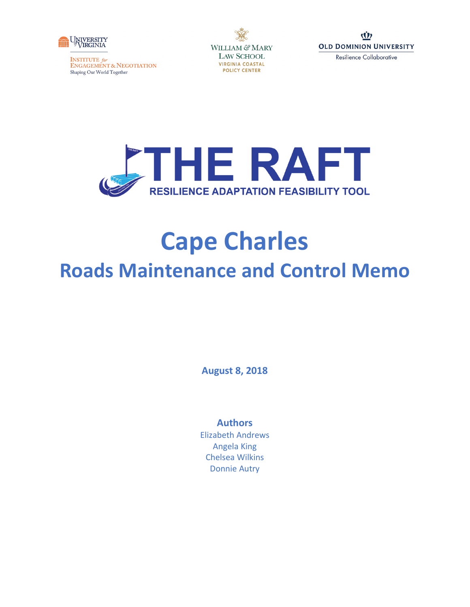

**INSTITUTE** for<br>ENGAGEMENT & NEGOTIATION Shaping Our World Together







# **Cape Charles Roads Maintenance and Control Memo**

**August 8, 2018**

### **Authors**

Elizabeth Andrews Angela King Chelsea Wilkins Donnie Autry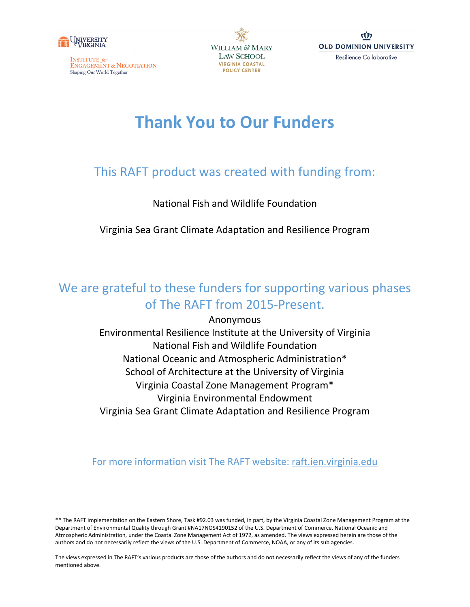

**INSTITUTE** for ENGAGEMENT & NEGOTIATION Shaping Our World Together





# **Thank You to Our Funders**

# This RAFT product was created with funding from:

# National Fish and Wildlife Foundation

Virginia Sea Grant Climate Adaptation and Resilience Program

# We are grateful to these funders for supporting various phases of The RAFT from 2015-Present.

Anonymous Environmental Resilience Institute at the University of Virginia National Fish and Wildlife Foundation National Oceanic and Atmospheric Administration\* School of Architecture at the University of Virginia Virginia Coastal Zone Management Program\* Virginia Environmental Endowment Virginia Sea Grant Climate Adaptation and Resilience Program

# For more information visit The RAFT website: [raft.ien.virginia.edu](http://raft.ien.virginia.edu/)

The views expressed in The RAFT's various products are those of the authors and do not necessarily reflect the views of any of the funders mentioned above.

<sup>\*\*</sup> The RAFT implementation on the Eastern Shore, Task #92.03 was funded, in part, by the Virginia Coastal Zone Management Program at the Department of Environmental Quality through Grant #NA17NOS4190152 of the U.S. Department of Commerce, National Oceanic and Atmospheric Administration, under the Coastal Zone Management Act of 1972, as amended. The views expressed herein are those of the authors and do not necessarily reflect the views of the U.S. Department of Commerce, NOAA, or any of its sub agencies.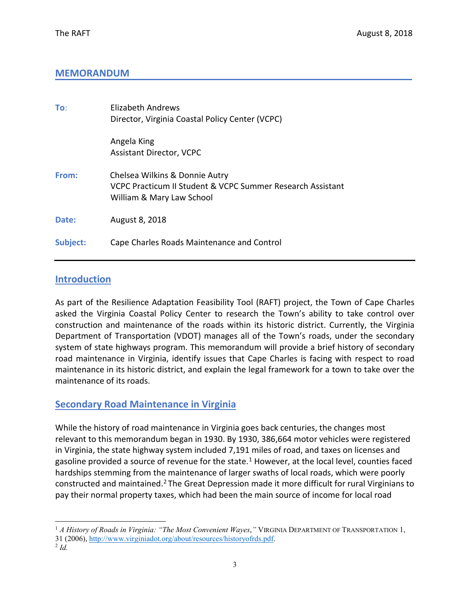## **MEMORANDUM**

| To:      | <b>Flizabeth Andrews</b><br>Director, Virginia Coastal Policy Center (VCPC)                                               |
|----------|---------------------------------------------------------------------------------------------------------------------------|
|          | Angela King<br><b>Assistant Director, VCPC</b>                                                                            |
| From:    | Chelsea Wilkins & Donnie Autry<br>VCPC Practicum II Student & VCPC Summer Research Assistant<br>William & Mary Law School |
| Date:    | August 8, 2018                                                                                                            |
| Subject: | Cape Charles Roads Maintenance and Control                                                                                |

## **Introduction**

As part of the Resilience Adaptation Feasibility Tool (RAFT) project, the Town of Cape Charles asked the Virginia Coastal Policy Center to research the Town's ability to take control over construction and maintenance of the roads within its historic district. Currently, the Virginia Department of Transportation (VDOT) manages all of the Town's roads, under the secondary system of state highways program. This memorandum will provide a brief history of secondary road maintenance in Virginia, identify issues that Cape Charles is facing with respect to road maintenance in its historic district, and explain the legal framework for a town to take over the maintenance of its roads.

### **Secondary Road Maintenance in Virginia**

While the history of road maintenance in Virginia goes back centuries, the changes most relevant to this memorandum began in 1930. By 1930, 386,664 motor vehicles were registered in Virginia, the state highway system included 7,191 miles of road, and taxes on licenses and gasoline provided a source of revenue for the state.<sup>[1](#page-2-0)</sup> However, at the local level, counties faced hardships stemming from the maintenance of larger swaths of local roads, which were poorly constructed and maintained.<sup>[2](#page-2-1)</sup> The Great Depression made it more difficult for rural Virginians to pay their normal property taxes, which had been the main source of income for local road

<span id="page-2-0"></span> <sup>1</sup> *A History of Roads in Virginia: "The Most Convenient Wayes*,*"* VIRGINIA DEPARTMENT OF TRANSPORTATION 1, 31 (2006), [http://www.virginiadot.org/about/resources/historyofrds.pdf.](http://www.virginiadot.org/about/resources/historyofrds.pdf)

<span id="page-2-1"></span> $^{2}$  *Id.*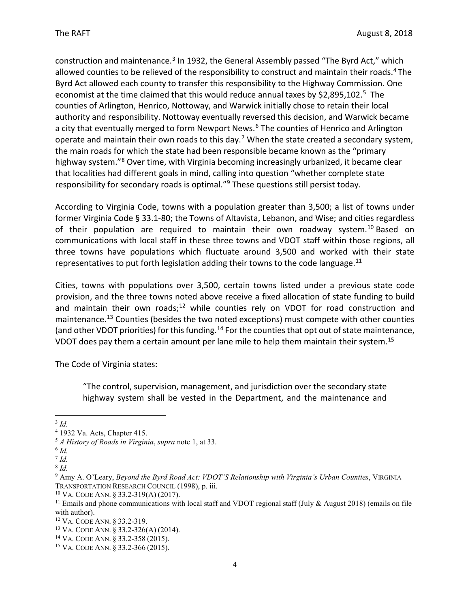construction and maintenance.<sup>[3](#page-3-0)</sup> In 1932, the General Assembly passed "The Byrd Act," which allowed counties to be relieved of the responsibility to construct and maintain their roads.<sup>[4](#page-3-1)</sup> The Byrd Act allowed each county to transfer this responsibility to the Highway Commission. One economist at the time claimed that this would reduce annual taxes by \$2,89[5](#page-3-2),102.<sup>5</sup> The counties of Arlington, Henrico, Nottoway, and Warwick initially chose to retain their local authority and responsibility. Nottoway eventually reversed this decision, and Warwick became a city that eventually merged to form Newport News.<sup>[6](#page-3-3)</sup> The counties of Henrico and Arlington operate and maintain their own roads to this day.<sup>[7](#page-3-4)</sup> When the state created a secondary system, the main roads for which the state had been responsible became known as the "primary highway system.["8](#page-3-5) Over time, with Virginia becoming increasingly urbanized, it became clear that localities had different goals in mind, calling into question "whether complete state responsibility for secondary roads is optimal."[9](#page-3-6) These questions still persist today.

According to Virginia Code, towns with a population greater than 3,500; a list of towns under former Virginia Code § 33.1-80; the Towns of Altavista, Lebanon, and Wise; and cities regardless of their population are required to maintain their own roadway system.<sup>[10](#page-3-7)</sup> Based on communications with local staff in these three towns and VDOT staff within those regions, all three towns have populations which fluctuate around 3,500 and worked with their state representatives to put forth legislation adding their towns to the code language. $^{11}$ 

Cities, towns with populations over 3,500, certain towns listed under a previous state code provision, and the three towns noted above receive a fixed allocation of state funding to build and maintain their own roads;<sup>[12](#page-3-9)</sup> while counties rely on VDOT for road construction and maintenance.<sup>[13](#page-3-10)</sup> Counties (besides the two noted exceptions) must compete with other counties (and other VDOT priorities) for this funding.<sup>[14](#page-3-11)</sup> For the counties that opt out of state maintenance, VDOT does pay them a certain amount per lane mile to help them maintain their system.<sup>15</sup>

The Code of Virginia states:

"The control, supervision, management, and jurisdiction over the secondary state highway system shall be vested in the Department, and the maintenance and

<span id="page-3-1"></span><span id="page-3-0"></span><sup>&</sup>lt;sup>3</sup> *Id.* 4 1932 Va. Acts, Chapter 415.

<span id="page-3-2"></span><sup>&</sup>lt;sup>5</sup> *A History of Roads in Virginia*, *supra* note 1, at 33.

<span id="page-3-3"></span><sup>6</sup> *Id.*

<span id="page-3-4"></span> $^7$  *Id.* 

<span id="page-3-5"></span><sup>8</sup> *Id.*

<span id="page-3-6"></span><sup>9</sup> Amy A. O'Leary, *Beyond the Byrd Road Act: VDOT'S Relationship with Virginia's Urban Counties*, VIRGINIA TRANSPORTATION RESEARCH COUNCIL (1998), p. iii.

<span id="page-3-7"></span><sup>10</sup> VA. CODE ANN. § 33.2-319(A) (2017).

<span id="page-3-8"></span><sup>&</sup>lt;sup>11</sup> Emails and phone communications with local staff and VDOT regional staff (July & August 2018) (emails on file with author).

<span id="page-3-9"></span><sup>12</sup> VA. CODE ANN. § 33.2-319.

<span id="page-3-10"></span><sup>13</sup> VA. CODE ANN. § 33.2-326(A) (2014).

<span id="page-3-11"></span><sup>14</sup> VA. CODE ANN. § 33.2-358 (2015).

<span id="page-3-12"></span><sup>15</sup> VA. CODE ANN. § 33.2-366 (2015).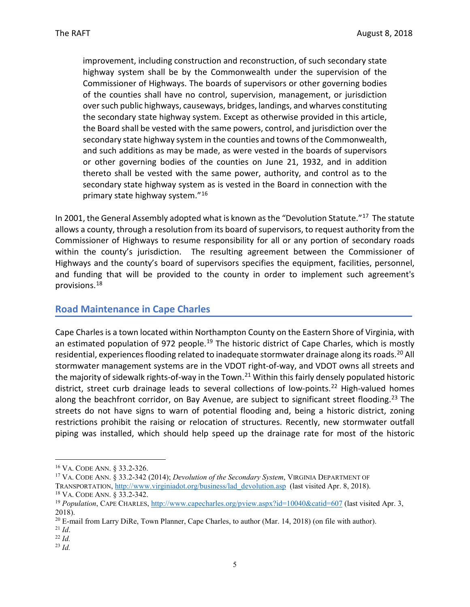improvement, including construction and reconstruction, of such secondary state highway system shall be by the Commonwealth under the supervision of the Commissioner of Highways. The boards of supervisors or other governing bodies of the counties shall have no control, supervision, management, or jurisdiction over such public highways, causeways, bridges, landings, and wharves constituting the secondary state highway system. Except as otherwise provided in this article, the Board shall be vested with the same powers, control, and jurisdiction over the secondary state highway system in the counties and towns of the Commonwealth, and such additions as may be made, as were vested in the boards of supervisors or other governing bodies of the counties on June 21, 1932, and in addition thereto shall be vested with the same power, authority, and control as to the secondary state highway system as is vested in the Board in connection with the primary state highway system."[16](#page-4-0) 

In 2001, the General Assembly adopted what is known as the "Devolution Statute."<sup>[17](#page-4-1)</sup> The statute allows a county, through a resolution from its board of supervisors, to request authority from the Commissioner of Highways to resume responsibility for all or any portion of secondary roads within the county's jurisdiction. The resulting agreement between the Commissioner of Highways and the county's board of supervisors specifies the equipment, facilities, personnel, and funding that will be provided to the county in order to implement such agreement's provisions. [18](#page-4-2)

## **Road Maintenance in Cape Charles**

Cape Charles is a town located within Northampton County on the Eastern Shore of Virginia, with an estimated population of 972 people.<sup>[19](#page-4-3)</sup> The historic district of Cape Charles, which is mostly residential, experiences flooding related to inadequate stormwater drainage along its roads.<sup>[20](#page-4-4)</sup> All stormwater management systems are in the VDOT right-of-way, and VDOT owns all streets and the majority of sidewalk rights-of-way in the Town.<sup>[21](#page-4-5)</sup> Within this fairly densely populated historic district, street curb drainage leads to several collections of low-points.<sup>[22](#page-4-6)</sup> High-valued homes along the beachfront corridor, on Bay Avenue, are subject to significant street flooding.<sup>[23](#page-4-7)</sup> The streets do not have signs to warn of potential flooding and, being a historic district, zoning restrictions prohibit the raising or relocation of structures. Recently, new stormwater outfall piping was installed, which should help speed up the drainage rate for most of the historic

<span id="page-4-0"></span> <sup>16</sup> VA. CODE ANN. § 33.2-326.

<span id="page-4-1"></span><sup>17</sup> VA. CODE ANN. § 33.2-342 (2014); *Devolution of the Secondary System*, VIRGINIA DEPARTMENT OF TRANSPORTATION, [http://www.virginiadot.org/business/lad\\_devolution.asp](http://www.virginiadot.org/business/lad_devolution.asp) (last visited Apr. 8, 2018). <sup>18</sup> VA. CODE ANN. § 33.2-342.

<span id="page-4-3"></span><span id="page-4-2"></span><sup>&</sup>lt;sup>19</sup> *Population*, CAPE CHARLES,<http://www.capecharles.org/pview.aspx?id=10040&catid=607> (last visited Apr. 3, 2018).

<sup>&</sup>lt;sup>20</sup> E-mail from Larry DiRe, Town Planner, Cape Charles, to author (Mar. 14, 2018) (on file with author).

<span id="page-4-6"></span><span id="page-4-5"></span><span id="page-4-4"></span><sup>21</sup> *Id*.

<sup>22</sup> *Id.*

<span id="page-4-7"></span><sup>23</sup> *Id.*